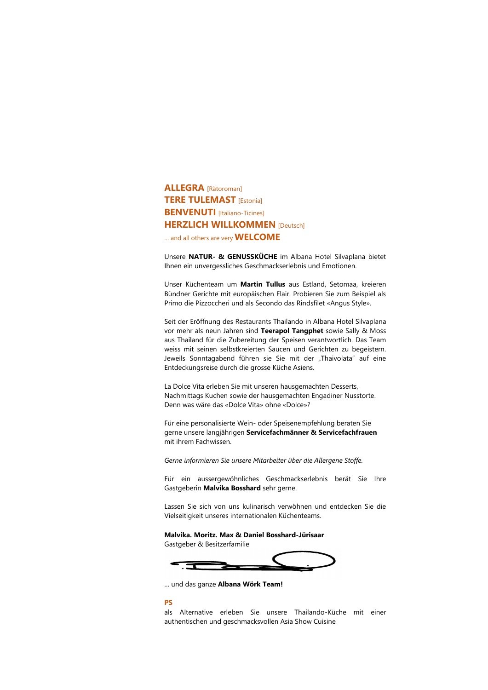**ALLEGRA** [Rätoroman] **TERE TULEMAST** [Estonia] **BENVENUTI** [Italiano-Ticines] **HERZLICH WILLKOMMEN** [Deutsch] … and all others are very **WELCOME**

Unsere **NATUR- & GENUSSKÜCHE** im Albana Hotel Silvaplana bietet Ihnen ein unvergessliches Geschmackserlebnis und Emotionen.

Unser Küchenteam um **Martin Tullus** aus Estland, Setomaa, kreieren Bündner Gerichte mit europäischen Flair. Probieren Sie zum Beispiel als Primo die Pizzoccheri und als Secondo das Rindsfilet «Angus Style».

Seit der Eröffnung des Restaurants Thailando in Albana Hotel Silvaplana vor mehr als neun Jahren sind **Teerapol Tangphet** sowie Sally & Moss aus Thailand für die Zubereitung der Speisen verantwortlich. Das Team weiss mit seinen selbstkreierten Saucen und Gerichten zu begeistern. Jeweils Sonntagabend führen sie Sie mit der "Thaivolata" auf eine Entdeckungsreise durch die grosse Küche Asiens.

La Dolce Vita erleben Sie mit unseren hausgemachten Desserts, Nachmittags Kuchen sowie der hausgemachten Engadiner Nusstorte. Denn was wäre das «Dolce Vita» ohne «Dolce»?

Für eine personalisierte Wein- oder Speisenempfehlung beraten Sie gerne unsere langjährigen **Servicefachmänner & Servicefachfrauen** mit ihrem Fachwissen.

*Gerne informieren Sie unsere Mitarbeiter über die Allergene Stoffe.* 

Für ein aussergewöhnliches Geschmackserlebnis berät Sie Ihre Gastgeberin **Malvika Bosshard** sehr gerne.

Lassen Sie sich von uns kulinarisch verwöhnen und entdecken Sie die Vielseitigkeit unseres internationalen Küchenteams.

**Malvika. Moritz. Max & Daniel Bosshard-Jürisaar**

Gastgeber & Besitzerfamilie



… und das ganze **Albana Wörk Team!**

#### **PS**

als Alternative erleben Sie unsere Thailando-Küche mit einer authentischen und geschmacksvollen Asia Show Cuisine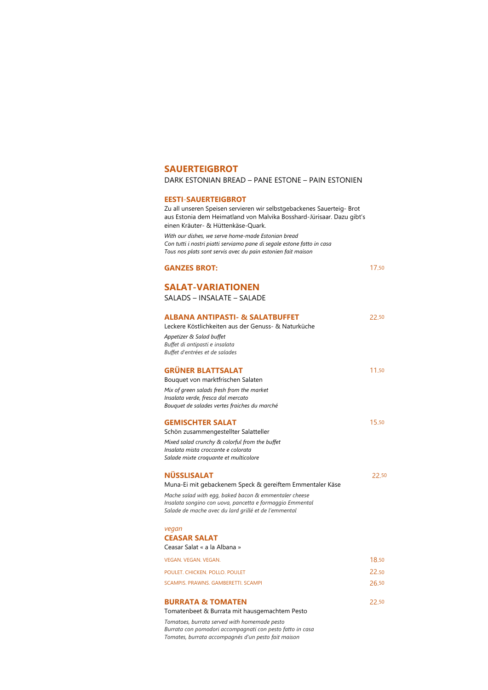## **SAUERTEIGBROT**

DARK ESTONIAN BREAD – PANE ESTONE – PAIN ESTONIEN

#### **EESTI**-**SAUERTEIGBROT**

Zu all unseren Speisen servieren wir selbstgebackenes Sauerteig- Brot aus Estonia dem Heimatland von Malvika Bosshard-Jürisaar. Dazu gibt's einen Kräuter- & Hüttenkäse-Quark.

*With our dishes, we serve home-made Estonian bread Con tutti i nostri piatti serviamo pane di segale estone fatto in casa Tous nos plats sont servis avec du pain estonien fait maison*

## **GANZES BROT:** 17.50

## **SALAT-VARIATIONEN**

SALADS – INSALATE – SALADE

| VEGAN, VEGAN, VEGAN,                | 18 50       |
|-------------------------------------|-------------|
| POULET, CHICKEN, POLLO, POULET      | 2250        |
| SCAMPIS, PRAWNS, GAMBERETTI, SCAMPI | <b>2650</b> |

#### **BURRATA & TOMATEN** 22.50

| <b>ALBANA ANTIPASTI- &amp; SALATBUFFET</b>               | 22.50 |
|----------------------------------------------------------|-------|
| Leckere Köstlichkeiten aus der Genuss- & Naturküche      |       |
| Appetizer & Salad buffet                                 |       |
| Buffet di antipasti e insalata                           |       |
| Buffet d'entrées et de salades                           |       |
| <b>GRÜNER BLATTSALAT</b>                                 | 11.50 |
| Bouquet von marktfrischen Salaten                        |       |
| Mix of green salads fresh from the market                |       |
| Insalata verde, fresca dal mercato                       |       |
| Bouquet de salades vertes fraiches du marché             |       |
| <b>GEMISCHTER SALAT</b>                                  | 15.50 |
| Schön zusammengestellter Salatteller                     |       |
| Mixed salad crunchy & colorful from the buffet           |       |
| Insalata mista croccante e colorata                      |       |
| Salade mixte croquante et multicolore                    |       |
| <b>NÜSSLISALAT</b>                                       | 22.50 |
| Muna-Ei mit gebackenem Speck & gereiftem Emmentaler Käse |       |
| Mache salad with egg, baked bacon & emmentaler cheese    |       |
| Insalata songino con uova, pancetta e formaggio Emmental |       |

*Salade de mache avec du lard grillé et de l'emmental*

## *vegan* **CEASAR SALAT**

Ceasar Salat « a la Albana »

Tomatenbeet & Burrata mit hausgemachtem Pesto

*Tomatoes, burrata served with homemade pesto Burrata con pomodori accompagnati con pesto fatto in casa Tomates, burrata accompagnés d'un pesto fait maison*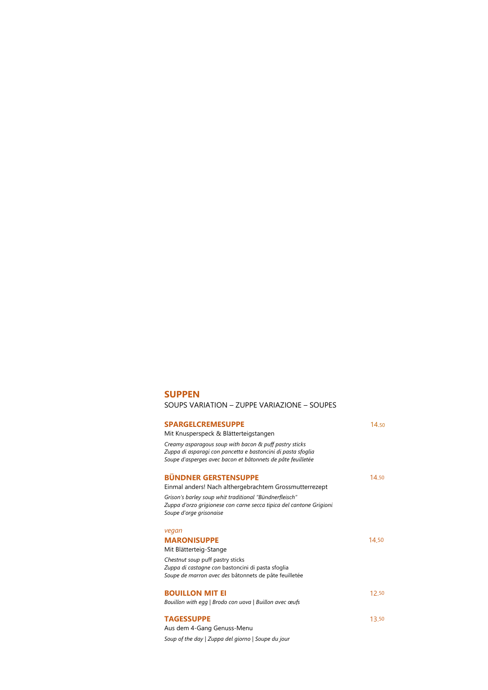## **SUPPEN**

SOUPS VARIATION – ZUPPE VARIAZIONE – SOUPES

#### **SPARGELCREMESUPPE** 14.50

Mit Knusperspeck & Blätterteigstangen

*Creamy asparagous soup with bacon & puff pastry sticks Zuppa di asparagi con pancetta e bastoncini di pasta sfoglia Soupe d'asperges avec bacon et bâtonnets de pâte feuilletée*

## **BÜNDNER GERSTENSUPPE** 14.50

Einmal anders! Nach althergebrachtem Grossmutterrezept

*Grison′s barley soup whit traditional "Bündnerfleisch" Zuppa d'orzo grigionese con carne secca tipica del cantone Grigioni Soupe d'orge grisonaise* 

## *vegan* **MARONISUPPE** 14.50

Mit Blätterteig-Stange

*Chestnut soup* puff pastry sticks *Zuppa di castagne con* bastoncini di pasta sfoglia *Soupe de marron avec des* bâtonnets de pâte feuilletée

## **BOUILLON MIT EI** 12.50

*Bouillon with egg* | *Brodo con uova* | *Buillon avec œufs*

## **TAGESSUPPE** 13.50

Aus dem 4-Gang Genuss-Menu *Soup of the day* | *Zuppa del giorno* | *Soupe du jour*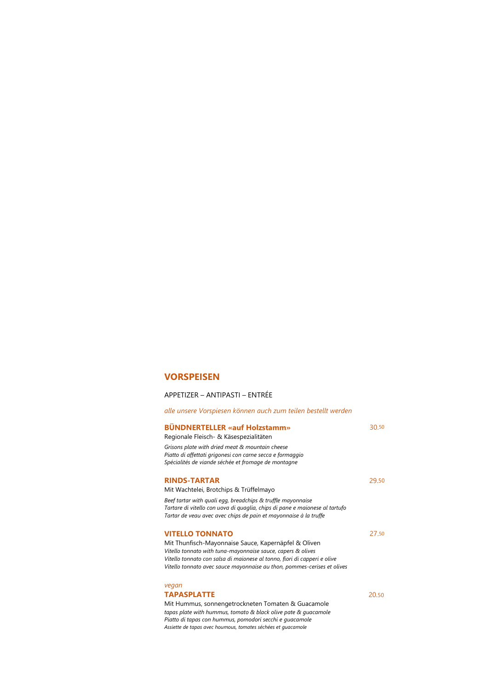## **VORSPEISEN**

## APPETIZER – ANTIPASTI – ENTRÉE

*alle unsere Vorspiesen können auch zum teilen bestellt werden*

## **BÜNDNERTELLER «auf Holzstamm»** 30.<sup>50</sup>

Regionale Fleisch- & Käsespezialitäten

*Grisons plate with dried meat & mountain cheese Piatto di affettati grigonesi con carne secca e formaggio Spécialités de viande séchée et fromage de montagne* 

## **RINDS-TARTAR** 29.50

Mit Wachtelei, Brotchips & Trüffelmayo

*Beef tartar with quali egg, breadchips & truffle mayonnaise Tartare di vitello con uova di quaglia, chips di pane e maionese al tartufo Tartar de veau avec avec chips de pain et mayonnaise à la truffe*

## **VITELLO TONNATO** 27.<sup>50</sup>

Mit Thunfisch-Mayonnaise Sauce, Kapernäpfel & Oliven *Vitello tonnato with tuna-mayonnaise sauce, capers & olives Vitello tonnato con salsa di maionese al tonno, fiori di capperi e olive Vitello tonnato avec sauce mayonnaise au thon, pommes-cerises et olives*

## *vegan* **TAPASPLATTE** 20.50

Mit Hummus, sonnengetrockneten Tomaten & Guacamole *tapas plate with hummus, tomato & black olive pate & guacamole Piatto di tapas con hummus, pomodori secchi e guacamole Assiette de tapas avec houmous, tomates séchées et guacamole*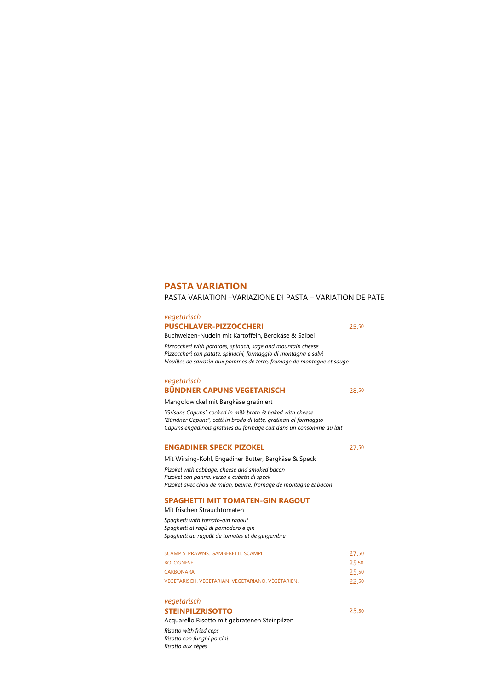## **PASTA VARIATION**

PASTA VARIATION –VARIAZIONE DI PASTA – VARIATION DE PATE

#### *vegetarisch*

#### **PUSCHLAVER-PIZZOCCHERI** 25.<sup>50</sup>

Buchweizen-Nudeln mit Kartoffeln, Bergkäse & Salbei

*Pizzoccheri with potatoes, spinach, sage and mountain cheese Pizzoccheri con patate, spinachi, formaggio di montagna e salvi Nouilles de sarrasin aux pommes de terre, fromage de montagne et sauge*

### *vegetarisch*

### **BÜNDNER CAPUNS VEGETARISCH** 28.50

Mangoldwickel mit Bergkäse gratiniert

*ʺGrisons Capunsʺ cooked in milk broth & baked with cheese ʺBündner Capunsʺ, cotti in brodo di latte, gratinati al formaggio Capuns engadinois gratines au formage cuit dans un consomme au lait*

## **ENGADINER SPECK PIZOKEL** 27.<sup>50</sup>

Mit Wirsing-Kohl, Engadiner Butter, Bergkäse & Speck

*Pizokel with cabbage, cheese and smoked bacon Pizokel con panna, verza e cubetti di speck Pizokel avec chou de milan, beurre, fromage de montagne & bacon*

## **SPAGHETTI MIT TOMATEN-GIN RAGOUT**

Mit frischen Strauchtomaten

*Spaghetti with tomato-gin ragout Spaghetti al ragù di pomodoro e gin Spaghetti au ragoût de tomates et de gingembre*

| SCAMPIS PRAWNS GAMBERETTI SCAMPI                  | 27 50 |
|---------------------------------------------------|-------|
| <b>BOLOGNESE</b>                                  | 25.50 |
| CARBONARA                                         | 25.50 |
| VEGETARISCH, VEGETARIAN, VEGETARIANO, VÉGÉTARIEN, | 22.50 |

## *vegetarisch* **STEINPILZRISOTTO** 25.<sup>50</sup>

Acquarello Risotto mit gebratenen Steinpilzen *Risotto with fried ceps Risotto con funghi porcini Risotto aux cépes*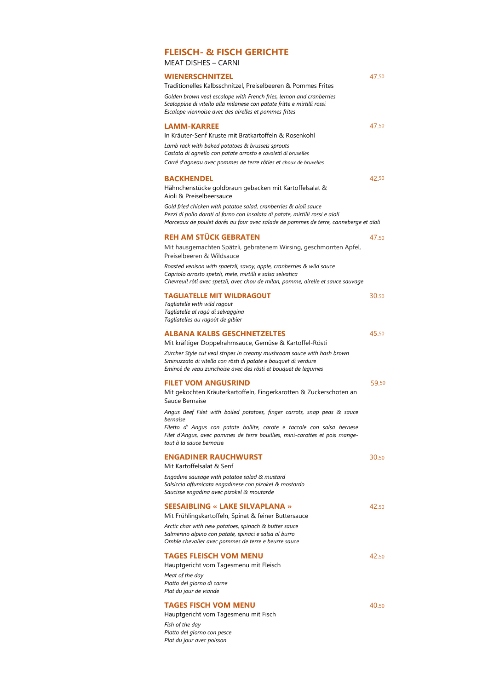## **FLEISCH- & FISCH GERICHTE**

MEAT DISHES – CARNI

| <b>WIENERSCHNITZEL</b>                                                                                                                                                                                                                    | 47.50 |
|-------------------------------------------------------------------------------------------------------------------------------------------------------------------------------------------------------------------------------------------|-------|
| Traditionelles Kalbsschnitzel, Preiselbeeren & Pommes Frites                                                                                                                                                                              |       |
| Golden brown veal escalope with French fries, lemon and cranberries<br>Scaloppine di vitello alla milanese con patate fritte e mirtilli rossi<br>Escalope viennoise avec des airelles et pommes frites                                    |       |
| <b>LAMM-KARREE</b>                                                                                                                                                                                                                        | 47.50 |
| In Kräuter-Senf Kruste mit Bratkartoffeln & Rosenkohl                                                                                                                                                                                     |       |
| Lamb rack with baked potatoes & brussels sprouts<br>Costata di agnello con patate arrosto e cavoletti di bruxelles                                                                                                                        |       |
| Carré d'agneau avec pommes de terre rôties et choux de bruxelles                                                                                                                                                                          |       |
| <b>BACKHENDEL</b>                                                                                                                                                                                                                         | 42.50 |
| Hähnchenstücke goldbraun gebacken mit Kartoffelsalat &<br>Aioli & Preiselbeersauce                                                                                                                                                        |       |
| Gold fried chicken with potatoe salad, cranberries & aioli sauce<br>Pezzi di pollo dorati al forno con insalata di patate, mirtilli rossi e aioli<br>Morceaux de poulet dorés au four avec salade de pommes de terre, canneberge et aïoli |       |
| <b>REH AM STÜCK GEBRATEN</b>                                                                                                                                                                                                              | 47.50 |
| Mit hausgemachten Spätzli, gebratenem Wirsing, geschmorrten Apfel,<br>Preiselbeeren & Wildsauce                                                                                                                                           |       |
| Roasted venison with spaetzli, savoy, apple, cranberries & wild sauce<br>Capriolo arrosto spetzli, mele, mirtilli e salsa selvatica<br>Chevreuil rôti avec spetzli, avec chou de milan, pomme, airelle et sauce sauvage                   |       |
| <b>TAGLIATELLE MIT WILDRAGOUT</b><br>Tagliatelle with wild ragout<br>Tagliatelle al ragù di selvaggina<br>Tagliatelles au ragoût de gibier                                                                                                | 30.50 |
| <b>ALBANA KALBS GESCHNETZELTES</b>                                                                                                                                                                                                        | 45.50 |
| Mit kräftiger Doppelrahmsauce, Gemüse & Kartoffel-Rösti                                                                                                                                                                                   |       |
| Zürcher Style cut veal stripes in creamy mushroom sauce with hash brown<br>Sminuzzato di vitello con rösti di patate e bouquet di verdure<br>Emincé de veau zurichoise avec des rösti et bouquet de legumes                               |       |
| <b>FILET VOM ANGUSRIND</b>                                                                                                                                                                                                                | 59.50 |
| Mit gekochten Kräuterkartoffeln, Fingerkarotten & Zuckerschoten an<br>Sauce Bernaise                                                                                                                                                      |       |
| Angus Beef Filet with boiled potatoes, finger carrots, snap peas & sauce<br>bernaise                                                                                                                                                      |       |
| Filetto d' Angus con patate bollite, carote e taccole con salsa bernese<br>Filet d'Angus, avec pommes de terre bouillies, mini-carottes et pois mange-<br>tout à la sauce bernaise                                                        |       |
| <b>ENGADINER RAUCHWURST</b><br>Mit Kartoffelsalat & Senf                                                                                                                                                                                  | 30.50 |
| Engadine sausage with potatoe salad & mustard<br>Salsiccia affumicata engadinese con pizokel & mostardo                                                                                                                                   |       |

*Saucisse engadina avec pizokel & moutarde*

#### **SEESAIBLING « LAKE SILVAPLANA »** 42.<sup>50</sup>

Mit Frühlingskartoffeln, Spinat & feiner Buttersauce

*Arctic char with new potatoes, spinach & butter sauce Salmerino alpino con patate, spinaci e salsa al burro Omble chevalier avec pommes de terre e beurre sauce*

## **TAGES FLEISCH VOM MENU** 42.<sup>50</sup>

Hauptgericht vom Tagesmenu mit Fleisch *Meat of the day Piatto del giorno di carne Plat du jour de viande*

## **TAGES FISCH VOM MENU** 40.50

Hauptgericht vom Tagesmenu mit Fisch

*Fish of the day Piatto del giorno con pesce Plat du jour avec poisson*

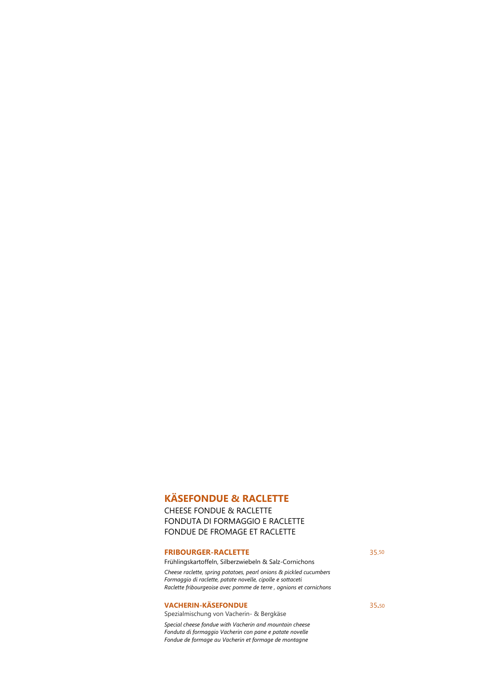# **KÄSEFONDUE & RACLETTE**

CHEESE FONDUE & RACLETTE FONDUTA DI FORMAGGIO E RACLETTE

# FONDUE DE FROMAGE ET RACLETTE

## **FRIBOURGER-RACLETTE** 35.<sup>50</sup>

Frühlingskartoffeln, Silberzwiebeln & Salz-Cornichons

*Cheese raclette, spring potatoes, pearl onions & pickled cucumbers Formaggio di raclette, patate novelle, cipolle e sottaceti Raclette fribourgeoise avec pomme de terre , ognions et cornichons*

## **VACHERIN-KÄSEFONDUE** 35**.**50

Spezialmischung von Vacherin- & Bergkäse

*Special cheese fondue with Vacherin and mountain cheese Fonduta di formaggio Vacherin con pane e patate novelle Fondue de formage au Vacherin et formage de montagne*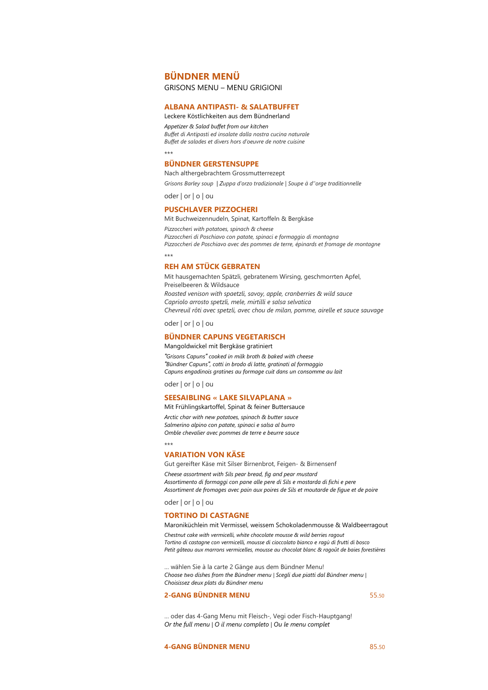## **BÜNDNER MENÜ**

GRISONS MENU – MENU GRIGIONI

#### **ALBANA ANTIPASTI- & SALATBUFFET**

Leckere Köstlichkeiten aus dem Bündnerland

*Appetizer & Salad buffet from our kitchen Buffet di Antipasti ed insalate dalla nostra cucina naturale Buffet de salades et divers hors d'oeuvre de notre cuisine*

\*\*\*

#### **BÜNDNER GERSTENSUPPE**

Nach althergebrachtem Grossmutterrezept *Grisons Barley soup* | *Zuppa d'orzo tradizionale* | *Soupe à d''orge traditionnelle*

oder | or | o | ou

#### **PUSCHLAVER PIZZOCHERI**

Mit Buchweizennudeln, Spinat, Kartoffeln & Bergkäse

*Pizzoccheri with potatoes, spinach & cheese Pizzoccheri di Poschiavo con patate, spinaci e formaggio di montagna Pizzoccheri de Poschiavo avec des pommes de terre, épinards et fromage de montagne*

\*\*\*

## **REH AM STÜCK GEBRATEN**

Mit hausgemachten Spätzli, gebratenem Wirsing, geschmorrten Apfel, Preiselbeeren & Wildsauce *Roasted venison with spaetzli, savoy, apple, cranberries & wild sauce Capriolo arrosto spetzli, mele, mirtilli e salsa selvatica Chevreuil rôti avec spetzli, avec chou de milan, pomme, airelle et sauce sauvage*

oder | or | o | ou

#### **BÜNDNER CAPUNS VEGETARISCH**

Mangoldwickel mit Bergkäse gratiniert

*ʺGrisons Capunsʺ cooked in milk broth & baked with cheese ʺBündner Capunsʺ, cotti in brodo di latte, gratinati al formaggio Capuns engadinois gratines au formage cuit dans un consomme au lait*

oder | or | o | ou

#### **SEESAIBLING « LAKE SILVAPLANA »**

Mit Frühlingskartoffel, Spinat & feiner Buttersauce

*Arctic char with new potatoes, spinach & butter sauce Salmerino alpino con patate, spinaci e salsa al burro Omble chevalier avec pommes de terre e beurre sauce*

\*\*\*

## **VARIATION VON KÄSE**

Gut gereifter Käse mit Silser Birnenbrot, Feigen- & Birnensenf

*Cheese assortment with Sils pear bread, fig and pear mustard Assortimento di formaggi con pane alle pere di Sils e mostarda di fichi e pere Assortiment de fromages avec pain aux poires de Sils et moutarde de figue et de poire* 

oder | or | o | ou

## **TORTINO DI CASTAGNE**

Maroniküchlein mit Vermissel, weissem Schokoladenmousse & Waldbeerragout

*Chestnut cake with vermicelli, white chocolate mousse & wild berries ragout Tortino di castagne con vermicelli, mousse di cioccolato bianco e ragù di frutti di bosco Petit gâteau aux marrons vermicelles, mousse au chocolat blanc & ragoût de baies forestières*

… wählen Sie à la carte 2 Gänge aus dem Bündner Menu! *Choose two dishes from the Bündner menu* | *Scegli due piatti dal Bündner menu* | *Choisissez deux plats du Bündner menu*

## **2-GANG BÜNDNER MENU** 55.50

… oder das 4-Gang Menu mit Fleisch-, Vegi oder Fisch-Hauptgang! *Or the full menu* | *O il menu completo* | *Ou le menu complet*

## **4-GANG BÜNDNER MENU** 85.50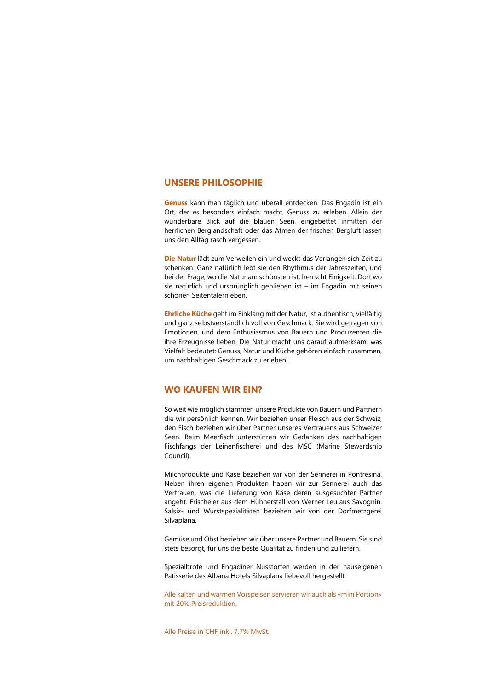## **UNSERE PHILOSOPHIE**

**Genuss** kann man täglich und überall entdecken. Das Engadin ist ein Ort, der es besonders einfach macht, Genuss zu erleben. Allein der wunderbare Blick auf die blauen Seen, eingebettet inmitten der herrlichen Berglandschaft oder das Atmen der frischen Bergluft lassen uns den Alltag rasch vergessen.

**Die Natur** lädt zum Verweilen ein und weckt das Verlangen sich Zeit zu schenken. Ganz natürlich lebt sie den Rhythmus der Jahreszeiten, und bei der Frage, wo die Natur am schönsten ist, herrscht Einigkeit: Dort wo sie natürlich und ursprünglich geblieben ist – im Engadin mit seinen schönen Seitentälern eben.

**Ehrliche Küche** geht im Einklang mit der Natur, ist authentisch, vielfältig und ganz selbstverständlich voll von Geschmack. Sie wird getragen von Emotionen, und dem Enthusiasmus von Bauern und Produzenten die ihre Erzeugnisse lieben. Die Natur macht uns darauf aufmerksam, was Vielfalt bedeutet: Genuss, Natur und Küche gehören einfach zusammen, um nachhaltigen Geschmack zu erleben.

## **WO KAUFEN WIR EIN?**

So weit wie möglich stammen unsere Produkte von Bauern und Partnern die wir persönlich kennen. Wir beziehen unser Fleisch aus der Schweiz, den Fisch beziehen wir über Partner unseres Vertrauens aus Schweizer Seen. Beim Meerfisch unterstützen wir Gedanken des nachhaltigen Fischfangs der Leinenfischerei und des MSC (Marine Stewardship Council).

Milchprodukte und Käse beziehen wir von der Sennerei in Pontresina. Neben ihren eigenen Produkten haben wir zur Sennerei auch das Vertrauen, was die Lieferung von Käse deren ausgesuchter Partner angeht. Frischeier aus dem Hühnerstall von Werner Leu aus Savognin. Salsiz- und Wurstspezialitäten beziehen wir von der Dorfmetzgerei Silvaplana.

Gemüse und Obst beziehen wir über unsere Partner und Bauern. Sie sind stets besorgt, für uns die beste Qualität zu finden und zu liefern.

Spezialbrote und Engadiner Nusstorten werden in der hauseigenen Patisserie des Albana Hotels Silvaplana liebevoll hergestellt.

Alle kalten und warmen Vorspeisen servieren wir auch als «mini Portion» mit 20% Preisreduktion.

Alle Preise in CHF inkl. 7.7% MwSt.